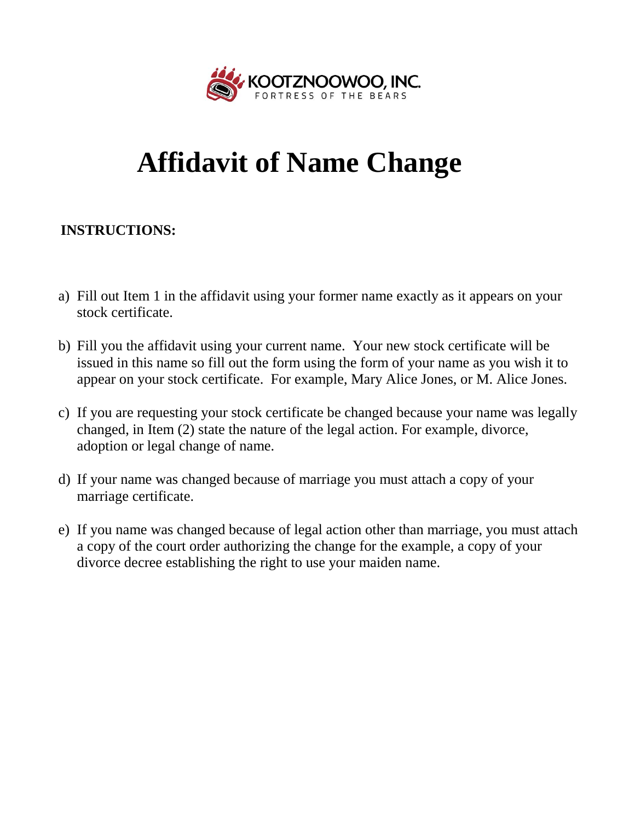

## **Affidavit of Name Change**

## **INSTRUCTIONS:**

- a) Fill out Item 1 in the affidavit using your former name exactly as it appears on your stock certificate.
- b) Fill you the affidavit using your current name. Your new stock certificate will be issued in this name so fill out the form using the form of your name as you wish it to appear on your stock certificate. For example, Mary Alice Jones, or M. Alice Jones.
- c) If you are requesting your stock certificate be changed because your name was legally changed, in Item (2) state the nature of the legal action. For example, divorce, adoption or legal change of name.
- d) If your name was changed because of marriage you must attach a copy of your marriage certificate.
- e) If you name was changed because of legal action other than marriage, you must attach a copy of the court order authorizing the change for the example, a copy of your divorce decree establishing the right to use your maiden name.